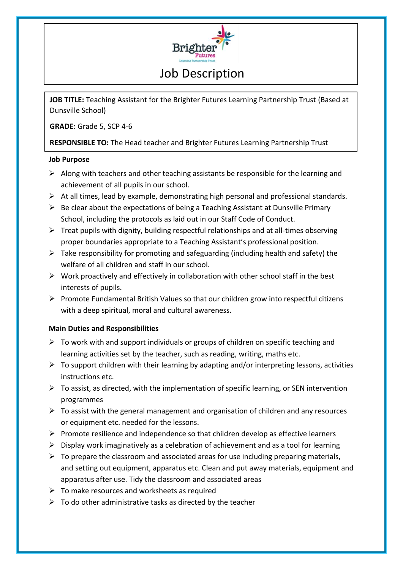

## Job Description

**JOB TITLE:** Teaching Assistant for the Brighter Futures Learning Partnership Trust (Based at Dunsville School)

**GRADE:** Grade 5, SCP 4-6

**RESPONSIBLE TO:** The Head teacher and Brighter Futures Learning Partnership Trust

## **Job Purpose**

- $\triangleright$  Along with teachers and other teaching assistants be responsible for the learning and achievement of all pupils in our school.
- $\triangleright$  At all times, lead by example, demonstrating high personal and professional standards.
- $\triangleright$  Be clear about the expectations of being a Teaching Assistant at Dunsville Primary School, including the protocols as laid out in our Staff Code of Conduct.
- $\triangleright$  Treat pupils with dignity, building respectful relationships and at all-times observing proper boundaries appropriate to a Teaching Assistant's professional position.
- $\triangleright$  Take responsibility for promoting and safeguarding (including health and safety) the welfare of all children and staff in our school.
- $\triangleright$  Work proactively and effectively in collaboration with other school staff in the best interests of pupils.
- $\triangleright$  Promote Fundamental British Values so that our children grow into respectful citizens with a deep spiritual, moral and cultural awareness.

## **Main Duties and Responsibilities**

- $\triangleright$  To work with and support individuals or groups of children on specific teaching and learning activities set by the teacher, such as reading, writing, maths etc.
- $\triangleright$  To support children with their learning by adapting and/or interpreting lessons, activities instructions etc.
- $\triangleright$  To assist, as directed, with the implementation of specific learning, or SEN intervention programmes
- $\triangleright$  To assist with the general management and organisation of children and any resources or equipment etc. needed for the lessons.
- $\triangleright$  Promote resilience and independence so that children develop as effective learners
- $\triangleright$  Display work imaginatively as a celebration of achievement and as a tool for learning
- $\triangleright$  To prepare the classroom and associated areas for use including preparing materials, and setting out equipment, apparatus etc. Clean and put away materials, equipment and apparatus after use. Tidy the classroom and associated areas
- $\triangleright$  To make resources and worksheets as required
- $\triangleright$  To do other administrative tasks as directed by the teacher